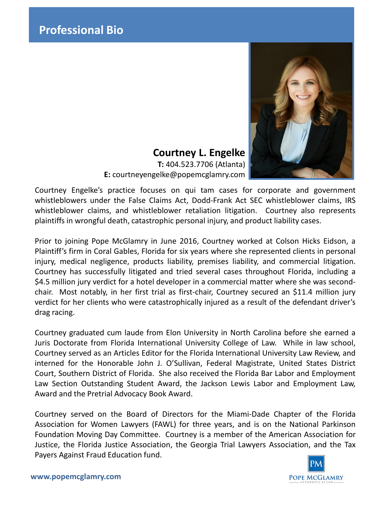

# **Courtney L. Engelke**

**T:** 404.523.7706 (Atlanta) **E:** courtneyengelke@popemcglamry.com

Courtney Engelke's practice focuses on qui tam cases for corporate and government whistleblowers under the False Claims Act, Dodd-Frank Act SEC whistleblower claims, IRS whistleblower claims, and whistleblower retaliation litigation. Courtney also represents plaintiffs in wrongful death, catastrophic personal injury, and product liability cases.

Prior to joining Pope McGlamry in June 2016, Courtney worked at Colson Hicks Eidson, a Plaintiff's firm in Coral Gables, Florida for six years where she represented clients in personal injury, medical negligence, products liability, premises liability, and commercial litigation. Courtney has successfully litigated and tried several cases throughout Florida, including a \$4.5 million jury verdict for a hotel developer in a commercial matter where she was secondchair. Most notably, in her first trial as first-chair, Courtney secured an \$11.4 million jury verdict for her clients who were catastrophically injured as a result of the defendant driver's drag racing.

Courtney graduated cum laude from Elon University in North Carolina before she earned a Juris Doctorate from Florida International University College of Law. While in law school, Courtney served as an Articles Editor for the Florida International University Law Review, and interned for the Honorable John J. O'Sullivan, Federal Magistrate, United States District Court, Southern District of Florida. She also received the Florida Bar Labor and Employment Law Section Outstanding Student Award, the Jackson Lewis Labor and Employment Law, Award and the Pretrial Advocacy Book Award.

Courtney served on the Board of Directors for the Miami-Dade Chapter of the Florida Association for Women Lawyers (FAWL) for three years, and is on the National Parkinson Foundation Moving Day Committee. Courtney is a member of the American Association for Justice, the Florida Justice Association, the Georgia Trial Lawyers Association, and the Tax Payers Against Fraud Education fund.